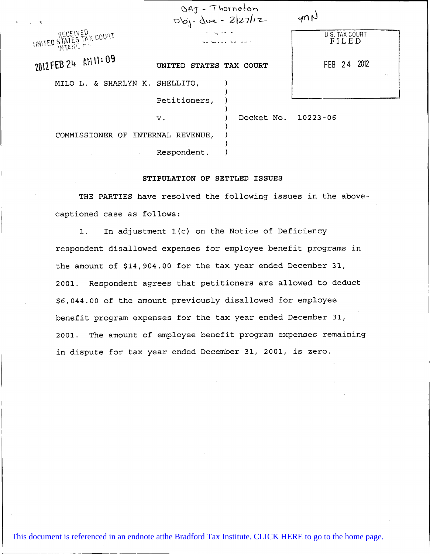| કર                                          | $OAJ - Thornofon$<br>$06j. dwe - 2 27 12$ |                     | mN                           |
|---------------------------------------------|-------------------------------------------|---------------------|------------------------------|
| INITED STATES TAX COURT<br><b>TELEVILLE</b> | ط الجنم <sub>ال</sub> ياب ال              |                     | U.S. TAX COURT<br>FILED      |
| 2012 FEB 24 AM 11:09                        | UNITED                                    | STATES TAX COURT    | FEB 24 2012<br>$\sim$ $\sim$ |
| MILO L. & SHARLYN K. SHELLITO,              |                                           |                     |                              |
|                                             | Petitioners,                              |                     |                              |
|                                             | $\mathbf v$ .                             | Docket No. 10223-06 |                              |
| COMMISSIONER OF INTERNAL REVENUE,           |                                           |                     |                              |
|                                             | Respondent.                               |                     |                              |

## STIPULATION OF SETTLED ISSUES

THE PARTIES have resolved the following issues in the abovecaptioned case as follows:

1. In adjustment 1(c) on the Notice of Deficiency respondent disallowed expenses for employee benefit programs in the amount of \$14,904.00 for the tax year ended December 31, 2001. Respondent agrees that petitioners are allowed to deduct \$6,044.00 of the amount previously disallowed for employee benefit program expenses for the tax year ended December 31, 2001. The amount of employee benefit program expenses remaining in dispute for tax year ended December 31, 2001, is zero.

[This document is referenced in an endnote atthe Bradford Tax Institute. CLICK HERE to go to the home page.](http://bradfordtaxinstitute.com/index1.aspx)